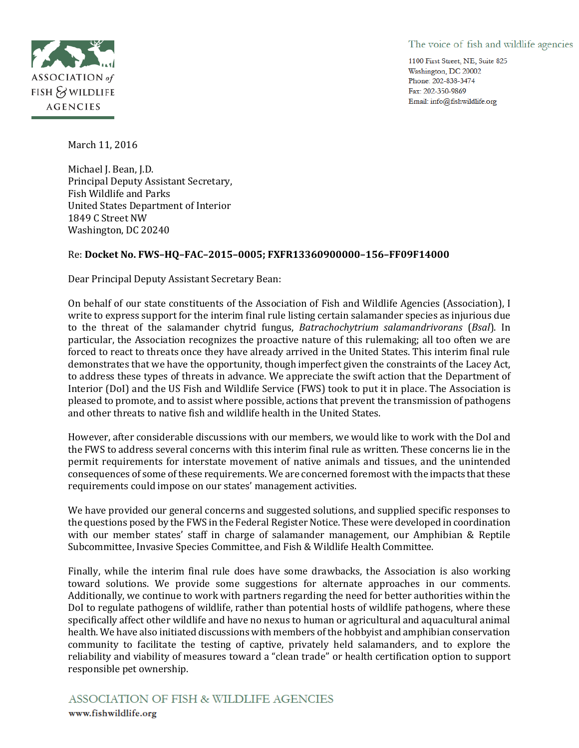## The voice of fish and wildlife agencies

1100 First Street, NE, Suite 825 Washington, DC 20002 Phone: 202-838-3474 Fax: 202-350-9869 Email: info@fishwildlife.org



March 11, 2016

Michael J. Bean, J.D. Principal Deputy Assistant Secretary, Fish Wildlife and Parks United States Department of Interior 1849 C Street NW Washington, DC 20240

# Re: **Docket No. FWS–HQ–FAC–2015–0005; FXFR13360900000–156–FF09F14000**

Dear Principal Deputy Assistant Secretary Bean:

On behalf of our state constituents of the Association of Fish and Wildlife Agencies (Association), I write to express support for the interim final rule listing certain salamander species as injurious due to the threat of the salamander chytrid fungus, *Batrachochytrium salamandrivorans* (*Bsal*). In particular, the Association recognizes the proactive nature of this rulemaking; all too often we are forced to react to threats once they have already arrived in the United States. This interim final rule demonstrates that we have the opportunity, though imperfect given the constraints of the Lacey Act, to address these types of threats in advance. We appreciate the swift action that the Department of Interior (DoI) and the US Fish and Wildlife Service (FWS) took to put it in place. The Association is pleased to promote, and to assist where possible, actions that prevent the transmission of pathogens and other threats to native fish and wildlife health in the United States.

However, after considerable discussions with our members, we would like to work with the DoI and the FWS to address several concerns with this interim final rule as written. These concerns lie in the permit requirements for interstate movement of native animals and tissues, and the unintended consequences of some of these requirements. We are concerned foremost with the impacts that these requirements could impose on our states' management activities.

We have provided our general concerns and suggested solutions, and supplied specific responses to the questions posed by the FWS in the Federal Register Notice. These were developed in coordination with our member states' staff in charge of salamander management, our Amphibian & Reptile Subcommittee, Invasive Species Committee, and Fish & Wildlife Health Committee.

Finally, while the interim final rule does have some drawbacks, the Association is also working toward solutions. We provide some suggestions for alternate approaches in our comments. Additionally, we continue to work with partners regarding the need for better authorities within the DoI to regulate pathogens of wildlife, rather than potential hosts of wildlife pathogens, where these specifically affect other wildlife and have no nexus to human or agricultural and aquacultural animal health. We have also initiated discussions with members of the hobbyist and amphibian conservation community to facilitate the testing of captive, privately held salamanders, and to explore the reliability and viability of measures toward a "clean trade" or health certification option to support responsible pet ownership.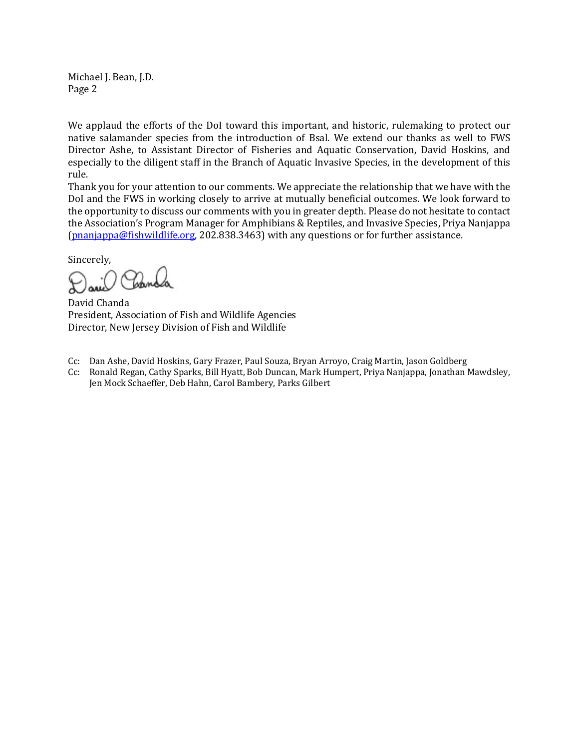Michael J. Bean, J.D. Page 2

We applaud the efforts of the DoI toward this important, and historic, rulemaking to protect our native salamander species from the introduction of Bsal. We extend our thanks as well to FWS Director Ashe, to Assistant Director of Fisheries and Aquatic Conservation, David Hoskins, and especially to the diligent staff in the Branch of Aquatic Invasive Species, in the development of this rule.

Thank you for your attention to our comments. We appreciate the relationship that we have with the DoI and the FWS in working closely to arrive at mutually beneficial outcomes. We look forward to the opportunity to discuss our comments with you in greater depth. Please do not hesitate to contact the Association's Program Manager for Amphibians & Reptiles, and Invasive Species, Priya Nanjappa [\(pnanjappa@fishwildlife.org,](mailto:pnanjappa@fishwildlife.org) 202.838.3463) with any questions or for further assistance.

Sincerely,

David Chanda President, Association of Fish and Wildlife Agencies Director, New Jersey Division of Fish and Wildlife

- Cc: Dan Ashe, David Hoskins, Gary Frazer, Paul Souza, Bryan Arroyo, Craig Martin, Jason Goldberg
- Cc: Ronald Regan, Cathy Sparks, Bill Hyatt, Bob Duncan, Mark Humpert, Priya Nanjappa, Jonathan Mawdsley, Jen Mock Schaeffer, Deb Hahn, Carol Bambery, Parks Gilbert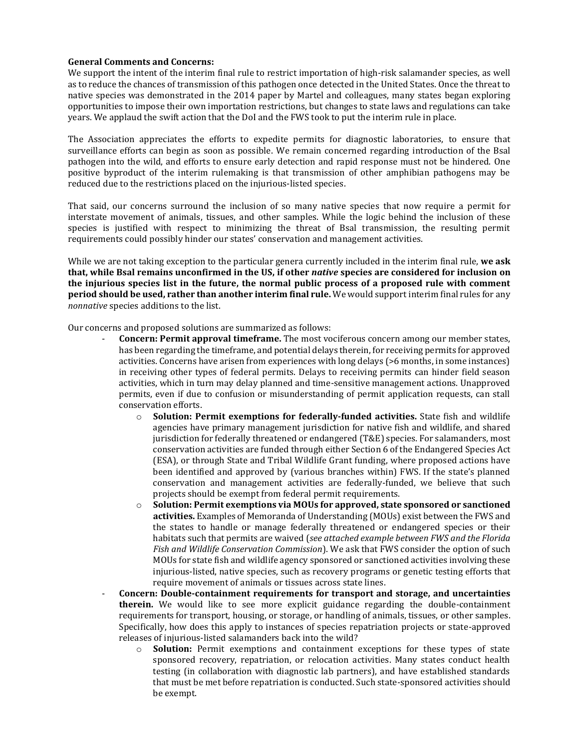#### **General Comments and Concerns:**

We support the intent of the interim final rule to restrict importation of high-risk salamander species, as well as to reduce the chances of transmission of this pathogen once detected in the United States. Once the threat to native species was demonstrated in the 2014 paper by Martel and colleagues, many states began exploring opportunities to impose their own importation restrictions, but changes to state laws and regulations can take years. We applaud the swift action that the DoI and the FWS took to put the interim rule in place.

The Association appreciates the efforts to expedite permits for diagnostic laboratories, to ensure that surveillance efforts can begin as soon as possible. We remain concerned regarding introduction of the Bsal pathogen into the wild, and efforts to ensure early detection and rapid response must not be hindered. One positive byproduct of the interim rulemaking is that transmission of other amphibian pathogens may be reduced due to the restrictions placed on the injurious-listed species.

That said, our concerns surround the inclusion of so many native species that now require a permit for interstate movement of animals, tissues, and other samples. While the logic behind the inclusion of these species is justified with respect to minimizing the threat of Bsal transmission, the resulting permit requirements could possibly hinder our states' conservation and management activities.

While we are not taking exception to the particular genera currently included in the interim final rule, **we ask that, while Bsal remains unconfirmed in the US, if other** *native* **species are considered for inclusion on the injurious species list in the future, the normal public process of a proposed rule with comment period should be used, rather than another interim final rule.** We would support interim final rules for any *nonnative* species additions to the list.

Our concerns and proposed solutions are summarized as follows:

- **Concern: Permit approval timeframe.** The most vociferous concern among our member states, has been regarding the timeframe, and potential delays therein, for receiving permits for approved activities. Concerns have arisen from experiences with long delays (>6 months, in some instances) in receiving other types of federal permits. Delays to receiving permits can hinder field season activities, which in turn may delay planned and time-sensitive management actions. Unapproved permits, even if due to confusion or misunderstanding of permit application requests, can stall conservation efforts.
	- o **Solution: Permit exemptions for federally-funded activities.** State fish and wildlife agencies have primary management jurisdiction for native fish and wildlife, and shared jurisdiction for federally threatened or endangered (T&E) species. For salamanders, most conservation activities are funded through either Section 6 of the Endangered Species Act (ESA), or through State and Tribal Wildlife Grant funding, where proposed actions have been identified and approved by (various branches within) FWS. If the state's planned conservation and management activities are federally-funded, we believe that such projects should be exempt from federal permit requirements.
	- o **Solution: Permit exemptions via MOUs for approved, state sponsored or sanctioned activities.** Examples of Memoranda of Understanding (MOUs) exist between the FWS and the states to handle or manage federally threatened or endangered species or their habitats such that permits are waived (*see attached example between FWS and the Florida Fish and Wildlife Conservation Commission*). We ask that FWS consider the option of such MOUs for state fish and wildlife agency sponsored or sanctioned activities involving these injurious-listed, native species, such as recovery programs or genetic testing efforts that require movement of animals or tissues across state lines.
- **Concern: Double-containment requirements for transport and storage, and uncertainties therein.** We would like to see more explicit guidance regarding the double-containment requirements for transport, housing, or storage, or handling of animals, tissues, or other samples. Specifically, how does this apply to instances of species repatriation projects or state-approved releases of injurious-listed salamanders back into the wild?
	- o **Solution:** Permit exemptions and containment exceptions for these types of state sponsored recovery, repatriation, or relocation activities. Many states conduct health testing (in collaboration with diagnostic lab partners), and have established standards that must be met before repatriation is conducted. Such state-sponsored activities should be exempt.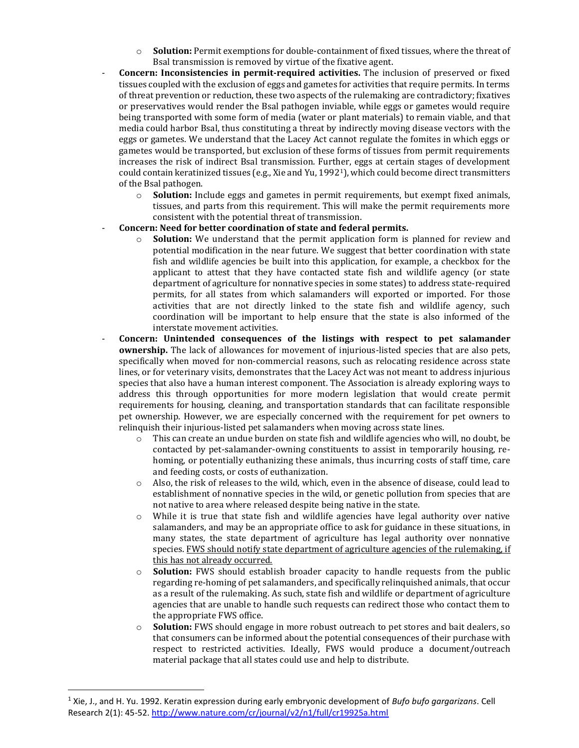- o **Solution:** Permit exemptions for double-containment of fixed tissues, where the threat of Bsal transmission is removed by virtue of the fixative agent.
- **Concern: Inconsistencies in permit-required activities.** The inclusion of preserved or fixed tissues coupled with the exclusion of eggs and gametes for activities that require permits. In terms of threat prevention or reduction, these two aspects of the rulemaking are contradictory; fixatives or preservatives would render the Bsal pathogen inviable, while eggs or gametes would require being transported with some form of media (water or plant materials) to remain viable, and that media could harbor Bsal, thus constituting a threat by indirectly moving disease vectors with the eggs or gametes. We understand that the Lacey Act cannot regulate the fomites in which eggs or gametes would be transported, but exclusion of these forms of tissues from permit requirements increases the risk of indirect Bsal transmission. Further, eggs at certain stages of development could contain keratinized tissues (e.g., Xie and Yu, 19921), which could become direct transmitters of the Bsal pathogen.
	- o **Solution:** Include eggs and gametes in permit requirements, but exempt fixed animals, tissues, and parts from this requirement. This will make the permit requirements more consistent with the potential threat of transmission.
- **Concern: Need for better coordination of state and federal permits.**
	- o **Solution:** We understand that the permit application form is planned for review and potential modification in the near future. We suggest that better coordination with state fish and wildlife agencies be built into this application, for example, a checkbox for the applicant to attest that they have contacted state fish and wildlife agency (or state department of agriculture for nonnative species in some states) to address state-required permits, for all states from which salamanders will exported or imported. For those activities that are not directly linked to the state fish and wildlife agency, such coordination will be important to help ensure that the state is also informed of the interstate movement activities.
- **Concern: Unintended consequences of the listings with respect to pet salamander ownership.** The lack of allowances for movement of injurious-listed species that are also pets, specifically when moved for non-commercial reasons, such as relocating residence across state lines, or for veterinary visits, demonstrates that the Lacey Act was not meant to address injurious species that also have a human interest component. The Association is already exploring ways to address this through opportunities for more modern legislation that would create permit requirements for housing, cleaning, and transportation standards that can facilitate responsible pet ownership. However, we are especially concerned with the requirement for pet owners to relinquish their injurious-listed pet salamanders when moving across state lines.
	- $\circ$  This can create an undue burden on state fish and wildlife agencies who will, no doubt, be contacted by pet-salamander-owning constituents to assist in temporarily housing, rehoming, or potentially euthanizing these animals, thus incurring costs of staff time, care and feeding costs, or costs of euthanization.
	- o Also, the risk of releases to the wild, which, even in the absence of disease, could lead to establishment of nonnative species in the wild, or genetic pollution from species that are not native to area where released despite being native in the state.
	- o While it is true that state fish and wildlife agencies have legal authority over native salamanders, and may be an appropriate office to ask for guidance in these situations, in many states, the state department of agriculture has legal authority over nonnative species. FWS should notify state department of agriculture agencies of the rulemaking, if this has not already occurred.
	- o **Solution:** FWS should establish broader capacity to handle requests from the public regarding re-homing of pet salamanders, and specifically relinquished animals, that occur as a result of the rulemaking. As such, state fish and wildlife or department of agriculture agencies that are unable to handle such requests can redirect those who contact them to the appropriate FWS office.
	- o **Solution:** FWS should engage in more robust outreach to pet stores and bait dealers, so that consumers can be informed about the potential consequences of their purchase with respect to restricted activities. Ideally, FWS would produce a document/outreach material package that all states could use and help to distribute.

 $\overline{\phantom{a}}$ 

<sup>1</sup> Xie, J., and H. Yu. 1992. Keratin expression during early embryonic development of *Bufo bufo gargarizans*. Cell Research 2(1): 45-52[. http://www.nature.com/cr/journal/v2/n1/full/cr19925a.html](http://www.nature.com/cr/journal/v2/n1/full/cr19925a.html)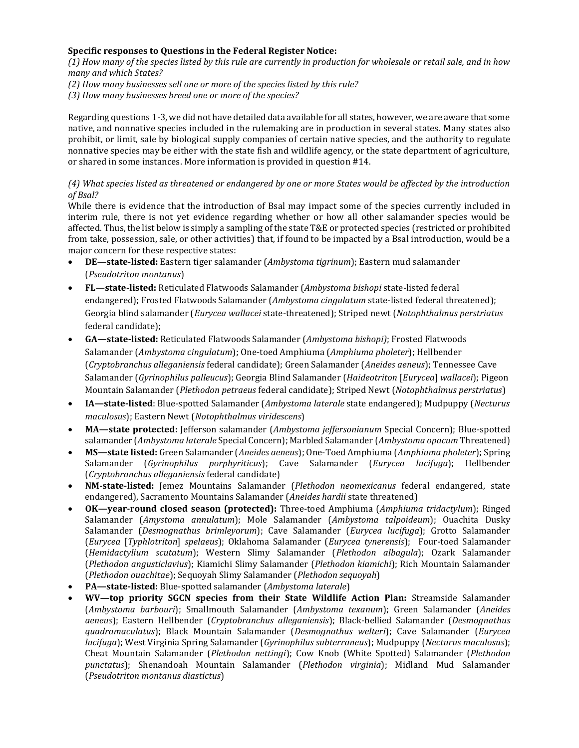### **Specific responses to Questions in the Federal Register Notice:**

*(1) How many of the species listed by this rule are currently in production for wholesale or retail sale, and in how many and which States?* 

*(2) How many businesses sell one or more of the species listed by this rule?* 

*(3) How many businesses breed one or more of the species?*

Regarding questions 1-3, we did not have detailed data available for all states, however, we are aware that some native, and nonnative species included in the rulemaking are in production in several states. Many states also prohibit, or limit, sale by biological supply companies of certain native species, and the authority to regulate nonnative species may be either with the state fish and wildlife agency, or the state department of agriculture, or shared in some instances. More information is provided in question #14.

# *(4) What species listed as threatened or endangered by one or more States would be affected by the introduction of Bsal?*

While there is evidence that the introduction of Bsal may impact some of the species currently included in interim rule, there is not yet evidence regarding whether or how all other salamander species would be affected. Thus, the list below is simply a sampling of the state T&E or protected species (restricted or prohibited from take, possession, sale, or other activities) that, if found to be impacted by a Bsal introduction, would be a major concern for these respective states:

- **DE—state-listed:** Eastern tiger salamander (*Ambystoma tigrinum*); Eastern mud salamander (*Pseudotriton montanus*)
- **FL—state-listed:** Reticulated Flatwoods Salamander (*Ambystoma bishopi* state-listed federal endangered); Frosted Flatwoods Salamander (*Ambystoma cingulatum* state-listed federal threatened); Georgia blind salamander (*Eurycea wallacei* state-threatened); Striped newt (*Notophthalmus perstriatus*  federal candidate);
- **GA—state-listed:** Reticulated Flatwoods Salamander (*Ambystoma bishopi)*; Frosted Flatwoods Salamander (*Ambystoma cingulatum*); One-toed Amphiuma (*Amphiuma pholeter*); Hellbender (*Cryptobranchus alleganiensis* federal candidate); Green Salamander (*Aneides aeneus*); Tennessee Cave Salamander (*Gyrinophilus palleucus*); Georgia Blind Salamander (*Haideotriton* [*Eurycea*] *wallacei*); Pigeon Mountain Salamander (*Plethodon petraeus* federal candidate); Striped Newt (*Notophthalmus perstriatus*)
- **IA—state-listed**: Blue-spotted Salamander (*Ambystoma laterale* state endangered); Mudpuppy (*Necturus maculosus*); Eastern Newt (*Notophthalmus viridescens*)
- **MA—state protected:** Jefferson salamander (*Ambystoma jeffersonianum* Special Concern); Blue-spotted salamander (*Ambystoma laterale* Special Concern); Marbled Salamander (*Ambystoma opacum* Threatened)
- **MS—state listed:** Green Salamander (*Aneides aeneus*); One-Toed Amphiuma (*Amphiuma pholeter*); Spring Salamander (*Gyrinophilus porphyriticus*); Cave Salamander (*Eurycea lucifuga*); Hellbender (*Cryptobranchus alleganiensis* federal candidate)
- **NM-state-listed:** Jemez Mountains Salamander (*Plethodon neomexicanus* federal endangered, state endangered), Sacramento Mountains Salamander (*Aneides hardii* state threatened)
- **OK—year-round closed season (protected):** Three-toed Amphiuma (*Amphiuma tridactylum*); Ringed Salamander (*Amystoma annulatum*); Mole Salamander (*Ambystoma talpoideum*); Ouachita Dusky Salamander (*Desmognathus brimleyorum*); Cave Salamander (*Eurycea lucifuga*); Grotto Salamander (*Eurycea* [*Typhlotriton*] *spelaeus*); Oklahoma Salamander (*Eurycea tynerensis*); Four-toed Salamander (*Hemidactylium scutatum*); Western Slimy Salamander (*Plethodon albagula*); Ozark Salamander (*Plethodon angusticlavius*); Kiamichi Slimy Salamander (*Plethodon kiamichi*); Rich Mountain Salamander (*Plethodon ouachitae*); Sequoyah Slimy Salamander (*Plethodon sequoyah*)
- **PA—state-listed:** Blue-spotted salamander (*Ambystoma laterale*)
- **WV—top priority SGCN species from their State Wildlife Action Plan:** Streamside Salamander (*Ambystoma barbouri*); Smallmouth Salamander (*Ambystoma texanum*); Green Salamander (*Aneides aeneus*); Eastern Hellbender (*Cryptobranchus alleganiensis*); Black-bellied Salamander (*Desmognathus quadramaculatus*); Black Mountain Salamander (*Desmognathus welteri*); Cave Salamander (*Eurycea lucifuga*); West Virginia Spring Salamander (*Gyrinophilus subterraneus*); Mudpuppy (*Necturus maculosus*); Cheat Mountain Salamander (*Plethodon nettingi*); Cow Knob (White Spotted) Salamander (*Plethodon punctatus*); Shenandoah Mountain Salamander (*Plethodon virginia*); Midland Mud Salamander (*Pseudotriton montanus diastictus*)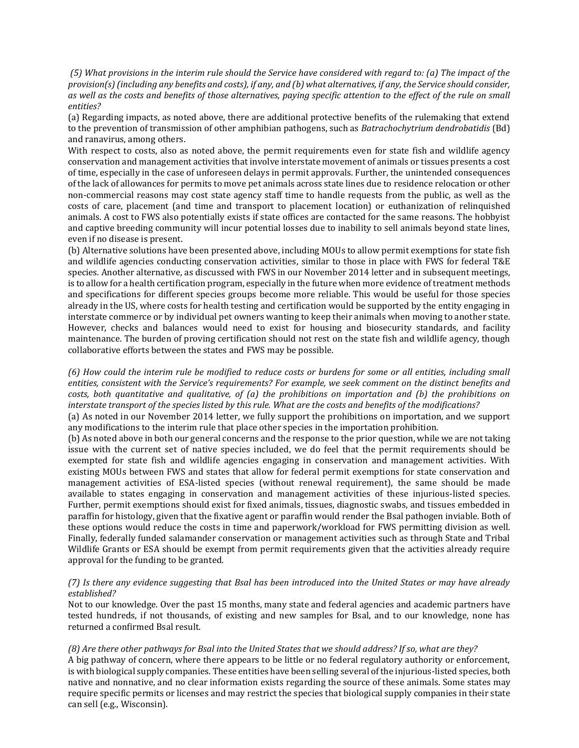*(5) What provisions in the interim rule should the Service have considered with regard to: (a) The impact of the provision(s) (including any benefits and costs), if any, and (b) what alternatives, if any, the Service should consider, as well as the costs and benefits of those alternatives, paying specific attention to the effect of the rule on small entities?* 

(a) Regarding impacts, as noted above, there are additional protective benefits of the rulemaking that extend to the prevention of transmission of other amphibian pathogens, such as *Batrachochytrium dendrobatidis* (Bd) and ranavirus, among others.

With respect to costs, also as noted above, the permit requirements even for state fish and wildlife agency conservation and management activities that involve interstate movement of animals or tissues presents a cost of time, especially in the case of unforeseen delays in permit approvals. Further, the unintended consequences of the lack of allowances for permits to move pet animals across state lines due to residence relocation or other non-commercial reasons may cost state agency staff time to handle requests from the public, as well as the costs of care, placement (and time and transport to placement location) or euthanization of relinquished animals. A cost to FWS also potentially exists if state offices are contacted for the same reasons. The hobbyist and captive breeding community will incur potential losses due to inability to sell animals beyond state lines, even if no disease is present.

(b) Alternative solutions have been presented above, including MOUs to allow permit exemptions for state fish and wildlife agencies conducting conservation activities, similar to those in place with FWS for federal T&E species. Another alternative, as discussed with FWS in our November 2014 letter and in subsequent meetings, is to allow for a health certification program, especially in the future when more evidence of treatment methods and specifications for different species groups become more reliable. This would be useful for those species already in the US, where costs for health testing and certification would be supported by the entity engaging in interstate commerce or by individual pet owners wanting to keep their animals when moving to another state. However, checks and balances would need to exist for housing and biosecurity standards, and facility maintenance. The burden of proving certification should not rest on the state fish and wildlife agency, though collaborative efforts between the states and FWS may be possible.

*(6) How could the interim rule be modified to reduce costs or burdens for some or all entities, including small entities, consistent with the Service's requirements? For example, we seek comment on the distinct benefits and costs, both quantitative and qualitative, of (a) the prohibitions on importation and (b) the prohibitions on interstate transport of the species listed by this rule. What are the costs and benefits of the modifications?* 

(a) As noted in our November 2014 letter, we fully support the prohibitions on importation, and we support any modifications to the interim rule that place other species in the importation prohibition.

(b) As noted above in both our general concerns and the response to the prior question, while we are not taking issue with the current set of native species included, we do feel that the permit requirements should be exempted for state fish and wildlife agencies engaging in conservation and management activities. With existing MOUs between FWS and states that allow for federal permit exemptions for state conservation and management activities of ESA-listed species (without renewal requirement), the same should be made available to states engaging in conservation and management activities of these injurious-listed species. Further, permit exemptions should exist for fixed animals, tissues, diagnostic swabs, and tissues embedded in paraffin for histology, given that the fixative agent or paraffin would render the Bsal pathogen inviable. Both of these options would reduce the costs in time and paperwork/workload for FWS permitting division as well. Finally, federally funded salamander conservation or management activities such as through State and Tribal Wildlife Grants or ESA should be exempt from permit requirements given that the activities already require approval for the funding to be granted.

### *(7) Is there any evidence suggesting that Bsal has been introduced into the United States or may have already established?*

Not to our knowledge. Over the past 15 months, many state and federal agencies and academic partners have tested hundreds, if not thousands, of existing and new samples for Bsal, and to our knowledge, none has returned a confirmed Bsal result.

#### *(8) Are there other pathways for Bsal into the United States that we should address? If so, what are they?*

A big pathway of concern, where there appears to be little or no federal regulatory authority or enforcement, is with biological supply companies. These entities have been selling several of the injurious-listed species, both native and nonnative, and no clear information exists regarding the source of these animals. Some states may require specific permits or licenses and may restrict the species that biological supply companies in their state can sell (e.g., Wisconsin).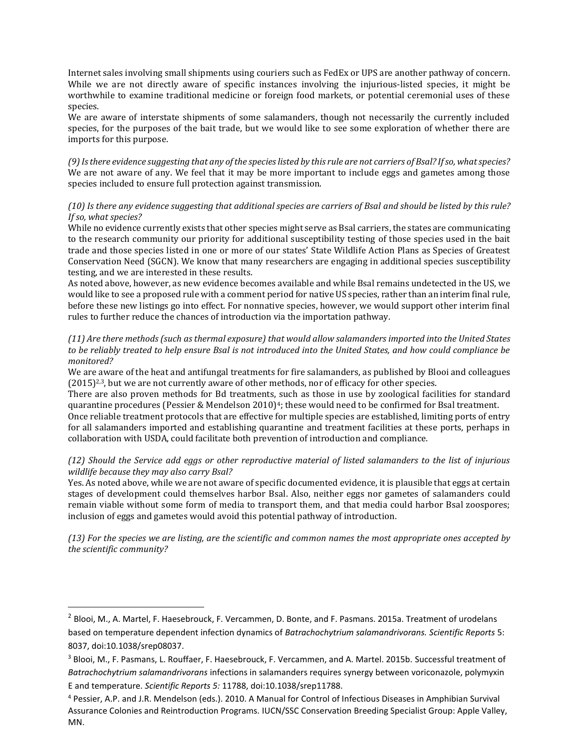Internet sales involving small shipments using couriers such as FedEx or UPS are another pathway of concern. While we are not directly aware of specific instances involving the injurious-listed species, it might be worthwhile to examine traditional medicine or foreign food markets, or potential ceremonial uses of these species.

We are aware of interstate shipments of some salamanders, though not necessarily the currently included species, for the purposes of the bait trade, but we would like to see some exploration of whether there are imports for this purpose.

*(9) Is there evidence suggesting that any of the species listed by this rule are not carriers of Bsal? If so, what species?* We are not aware of any. We feel that it may be more important to include eggs and gametes among those species included to ensure full protection against transmission.

## *(10) Is there any evidence suggesting that additional species are carriers of Bsal and should be listed by this rule? If so, what species?*

While no evidence currently exists that other species might serve as Bsal carriers, the states are communicating to the research community our priority for additional susceptibility testing of those species used in the bait trade and those species listed in one or more of our states' State Wildlife Action Plans as Species of Greatest Conservation Need (SGCN). We know that many researchers are engaging in additional species susceptibility testing, and we are interested in these results.

As noted above, however, as new evidence becomes available and while Bsal remains undetected in the US, we would like to see a proposed rule with a comment period for native US species, rather than an interim final rule, before these new listings go into effect. For nonnative species, however, we would support other interim final rules to further reduce the chances of introduction via the importation pathway.

#### *(11) Are there methods (such as thermal exposure) that would allow salamanders imported into the United States to be reliably treated to help ensure Bsal is not introduced into the United States, and how could compliance be monitored?*

We are aware of the heat and antifungal treatments for fire salamanders, as published by Blooi and colleagues  $(2015)^{2,3}$ , but we are not currently aware of other methods, nor of efficacy for other species.

There are also proven methods for Bd treatments, such as those in use by zoological facilities for standard quarantine procedures (Pessier & Mendelson 2010)<sup>4</sup>; these would need to be confirmed for Bsal treatment.

Once reliable treatment protocols that are effective for multiple species are established, limiting ports of entry for all salamanders imported and establishing quarantine and treatment facilities at these ports, perhaps in collaboration with USDA, could facilitate both prevention of introduction and compliance.

## *(12) Should the Service add eggs or other reproductive material of listed salamanders to the list of injurious wildlife because they may also carry Bsal?*

Yes. As noted above, while we are not aware of specific documented evidence, it is plausible that eggs at certain stages of development could themselves harbor Bsal. Also, neither eggs nor gametes of salamanders could remain viable without some form of media to transport them, and that media could harbor Bsal zoospores; inclusion of eggs and gametes would avoid this potential pathway of introduction.

*(13) For the species we are listing, are the scientific and common names the most appropriate ones accepted by the scientific community?* 

 $\overline{\phantom{a}}$ 

<sup>&</sup>lt;sup>2</sup> Blooi, M., A. Martel, F. Haesebrouck, F. Vercammen, D. Bonte, and F. Pasmans. 2015a. Treatment of urodelans based on temperature dependent infection dynamics of *Batrachochytrium salamandrivorans. Scientific Reports* 5: 8037, doi:10.1038/srep08037.

<sup>3</sup> Blooi, M., F. Pasmans, L. Rouffaer, F. Haesebrouck, F. Vercammen, and A. Martel. 2015b. Successful treatment of *Batrachochytrium salamandrivorans* infections in salamanders requires synergy between voriconazole, polymyxin E and temperature. *Scientific Reports 5:* 11788, doi:10.1038/srep11788.

<sup>4</sup> Pessier, A.P. and J.R. Mendelson (eds.). 2010. A Manual for Control of Infectious Diseases in Amphibian Survival Assurance Colonies and Reintroduction Programs. IUCN/SSC Conservation Breeding Specialist Group: Apple Valley, MN.